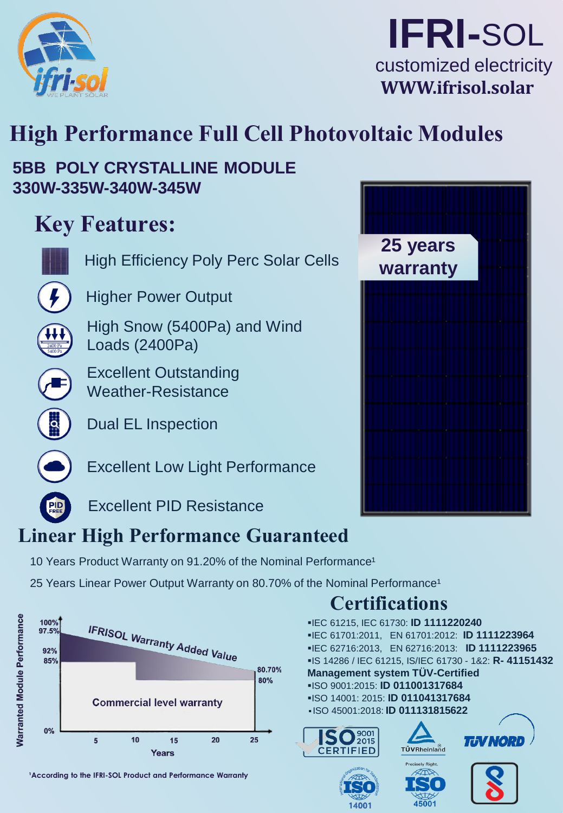

## **IFRI-**SOL customized electricity **WWW.ifrisol.solar**

# **High Performance Full Cell Photovoltaic Modules**

**5BB POLY CRYSTALLINE MODULE 330W-335W-340W-345W**

# **Key Features:**



High Efficiency Poly Perc Solar Cells

Higher Power Output

High Snow (5400Pa) and Wind Loads (2400Pa)



Dual EL Inspection

Excellent Low Light Performance



Excellent PID Resistance

### **Linear High Performance Guaranteed**

10 Years Product Warranty on 91.20% of the Nominal Performance<sup>1</sup>

25 Years Linear Power Output Warranty on 80.70% of the Nominal Performance<sup>1</sup>



<sup>1</sup> According to the IFRI-SOL Product and Performance Warranty



▪IEC 61215, IEC 61730: **ID 1111220240**

**Certifications** 

**Management system TÜV-Certified** ▪ISO 9001:2015: **ID 011001317684** ▪ISO 14001: 2015: **ID 011041317684** ▪ ISO 45001:2018: **ID 011131815622**

 $SO_{2015}^{9001}$ 

14001

**CERTIFIED** 

▪IEC 61701:2011, EN 61701:2012: **ID 1111223964** ▪IEC 62716:2013, EN 62716:2013: **ID 1111223965** ▪IS 14286 / IEC 61215, IS/IEC 61730 - 1&2: **R- 41151432**

TÜVRheinland

**Precisely Right** 

45001

**TJV NORI**